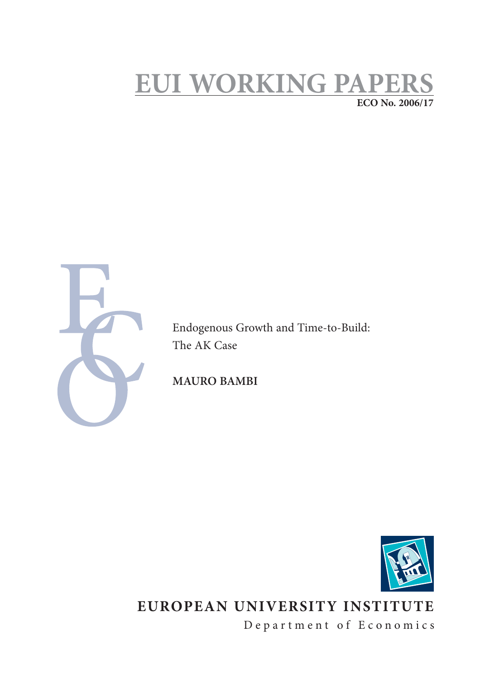# **EUI WORKING PAPERS ECO No. 2006/17**



Endogenous Growth and Time-to-Build: The AK Case

**MAURO BAMBI**



# **EUROPEAN UNIVERSITY INSTITUTE**

Department of Economics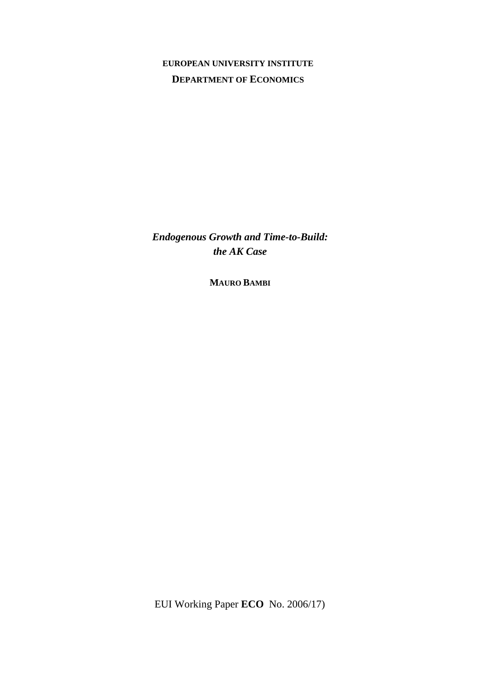# **EUROPEAN UNIVERSITY INSTITUTE DEPARTMENT OF ECONOMICS**

*Endogenous Growth and Time-to-Build: the AK Case* 

**MAURO BAMBI**

EUI Working Paper **ECO** No. 2006/17)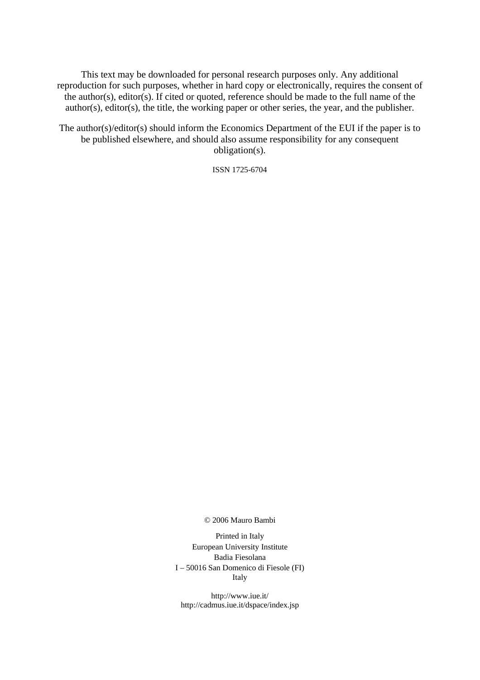This text may be downloaded for personal research purposes only. Any additional reproduction for such purposes, whether in hard copy or electronically, requires the consent of the author(s), editor(s). If cited or quoted, reference should be made to the full name of the author(s), editor(s), the title, the working paper or other series, the year, and the publisher.

The author(s)/editor(s) should inform the Economics Department of the EUI if the paper is to be published elsewhere, and should also assume responsibility for any consequent obligation(s).

ISSN 1725-6704

### © 2006 Mauro Bambi

Printed in Italy European University Institute Badia Fiesolana I – 50016 San Domenico di Fiesole (FI) Italy

http://www.iue.it/ http://cadmus.iue.it/dspace/index.jsp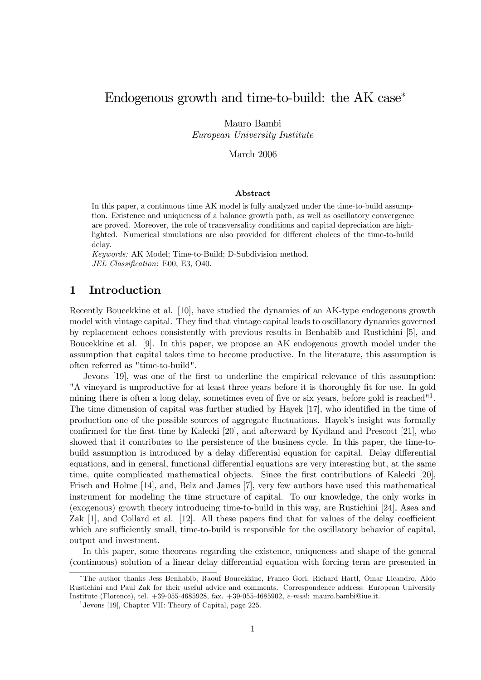# Endogenous growth and time-to-build: the AK case<sup>∗</sup>

Mauro Bambi

European University Institute

March 2006

### Abstract

In this paper, a continuous time AK model is fully analyzed under the time-to-build assumption. Existence and uniqueness of a balance growth path, as well as oscillatory convergence are proved. Moreover, the role of transversality conditions and capital depreciation are highlighted. Numerical simulations are also provided for different choices of the time-to-build delay.

Keywords: AK Model; Time-to-Build; D-Subdivision method. JEL Classification: E00, E3, O40.

### 1 Introduction

Recently Boucekkine et al. [10], have studied the dynamics of an AK-type endogenous growth model with vintage capital. They find that vintage capital leads to oscillatory dynamics governed by replacement echoes consistently with previous results in Benhabib and Rustichini [5], and Boucekkine et al. [9]. In this paper, we propose an AK endogenous growth model under the assumption that capital takes time to become productive. In the literature, this assumption is often referred as "time-to-build".

Jevons [19], was one of the first to underline the empirical relevance of this assumption: "A vineyard is unproductive for at least three years before it is thoroughly fit for use. In gold mining there is often a long delay, sometimes even of five or six years, before gold is reached<sup> $n_1$ </sup>. The time dimension of capital was further studied by Hayek [17], who identified in the time of production one of the possible sources of aggregate fluctuations. Hayek's insight was formally confirmed for the first time by Kalecki [20], and afterward by Kydland and Prescott [21], who showed that it contributes to the persistence of the business cycle. In this paper, the time-tobuild assumption is introduced by a delay differential equation for capital. Delay differential equations, and in general, functional differential equations are very interesting but, at the same time, quite complicated mathematical objects. Since the first contributions of Kalecki [20], Frisch and Holme [14], and, Belz and James [7], very few authors have used this mathematical instrument for modeling the time structure of capital. To our knowledge, the only works in (exogenous) growth theory introducing time-to-build in this way, are Rustichini [24], Asea and Zak [1], and Collard et al. [12]. All these papers find that for values of the delay coefficient which are sufficiently small, time-to-build is responsible for the oscillatory behavior of capital, output and investment.

In this paper, some theorems regarding the existence, uniqueness and shape of the general (continuous) solution of a linear delay differential equation with forcing term are presented in

<sup>∗</sup>The author thanks Jess Benhabib, Raouf Boucekkine, Franco Gori, Richard Hartl, Omar Licandro, Aldo Rustichini and Paul Zak for their useful advice and comments. Correspondence address: European University Institute (Florence), tel. +39-055-4685928, fax. +39-055-4685902, e-mail: mauro.bambi@iue.it.

<sup>&</sup>lt;sup>1</sup> Jevons [19], Chapter VII: Theory of Capital, page 225.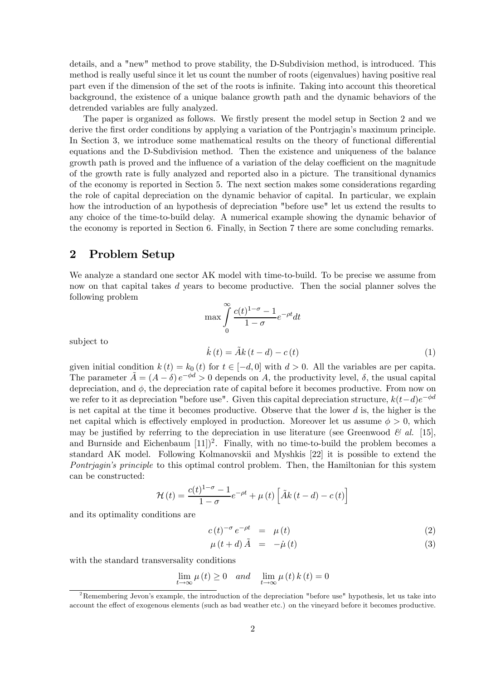details, and a "new" method to prove stability, the D-Subdivision method, is introduced. This method is really useful since it let us count the number of roots (eigenvalues) having positive real part even if the dimension of the set of the roots is infinite. Taking into account this theoretical background, the existence of a unique balance growth path and the dynamic behaviors of the detrended variables are fully analyzed.

The paper is organized as follows. We firstly present the model setup in Section 2 and we derive the first order conditions by applying a variation of the Pontrjagin's maximum principle. In Section 3, we introduce some mathematical results on the theory of functional differential equations and the D-Subdivision method. Then the existence and uniqueness of the balance growth path is proved and the influence of a variation of the delay coefficient on the magnitude of the growth rate is fully analyzed and reported also in a picture. The transitional dynamics of the economy is reported in Section 5. The next section makes some considerations regarding the role of capital depreciation on the dynamic behavior of capital. In particular, we explain how the introduction of an hypothesis of depreciation "before use" let us extend the results to any choice of the time-to-build delay. A numerical example showing the dynamic behavior of the economy is reported in Section 6. Finally, in Section 7 there are some concluding remarks.

### 2 Problem Setup

We analyze a standard one sector AK model with time-to-build. To be precise we assume from now on that capital takes d years to become productive. Then the social planner solves the following problem

$$
\max \int_{0}^{\infty} \frac{c(t)^{1-\sigma} - 1}{1 - \sigma} e^{-\rho t} dt
$$

subject to  $\overline{a}$ 

$$
\dot{k}(t) = \tilde{A}k(t-d) - c(t)
$$
\n(1)

given initial condition  $k(t) = k_0(t)$  for  $t \in [-d, 0]$  with  $d > 0$ . All the variables are per capita. The parameter  $\tilde{A} = (A - \delta) e^{-\phi d} > 0$  depends on A, the productivity level,  $\delta$ , the usual capital depreciation, and  $\phi$ , the depreciation rate of capital before it becomes productive. From now on we refer to it as depreciation "before use". Given this capital depreciation structure,  $k(t-d)e^{-\phi d}$ is net capital at the time it becomes productive. Observe that the lower  $d$  is, the higher is the net capital which is effectively employed in production. Moreover let us assume  $\phi > 0$ , which may be justified by referring to the depreciation in use literature (see Greenwood  $\mathcal{C}$  al. [15], and Burnside and Eichenbaum  $[11]$ <sup>2</sup>. Finally, with no time-to-build the problem becomes a standard AK model. Following Kolmanovskii and Myshkis [22] it is possible to extend the Pontriagin's principle to this optimal control problem. Then, the Hamiltonian for this system can be constructed:

$$
\mathcal{H}(t) = \frac{c(t)^{1-\sigma} - 1}{1-\sigma} e^{-\rho t} + \mu(t) \left[ \tilde{A}k(t-d) - c(t) \right]
$$

and its optimality conditions are

$$
c(t)^{-\sigma} e^{-\rho t} = \mu(t) \tag{2}
$$

$$
\mu(t+d)\tilde{A} = -\dot{\mu}(t) \tag{3}
$$

with the standard transversality conditions

$$
\lim_{t \to \infty} \mu(t) \ge 0 \quad and \quad \lim_{t \to \infty} \mu(t) k(t) = 0
$$

<sup>&</sup>lt;sup>2</sup>Remembering Jevon's example, the introduction of the depreciation "before use" hypothesis, let us take into account the effect of exogenous elements (such as bad weather etc.) on the vineyard before it becomes productive.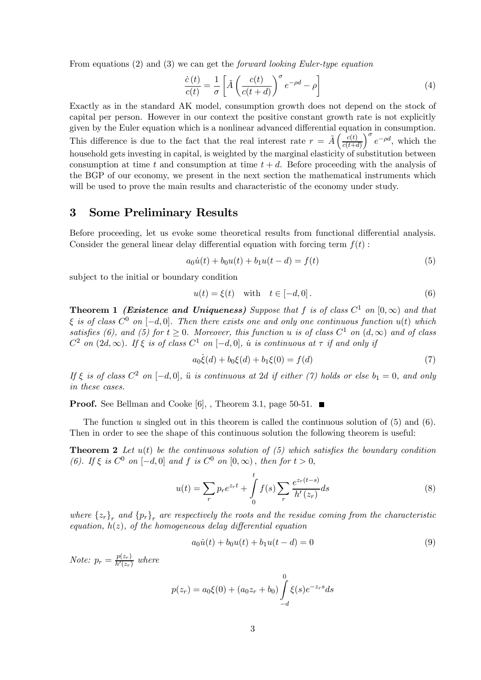From equations (2) and (3) we can get the forward looking Euler-type equation

$$
\frac{\dot{c}(t)}{c(t)} = \frac{1}{\sigma} \left[ \tilde{A} \left( \frac{c(t)}{c(t+d)} \right)^{\sigma} e^{-\rho d} - \rho \right]
$$
(4)

Exactly as in the standard AK model, consumption growth does not depend on the stock of capital per person. However in our context the positive constant growth rate is not explicitly given by the Euler equation which is a nonlinear advanced differential equation in consumption. This difference is due to the fact that the real interest rate  $r = \tilde{A} \left( \frac{c(t)}{c(t+1)} \right)$  $c(t+d)$  $\int_{c}^{\sigma} e^{-\rho d}$ , which the household gets investing in capital, is weighted by the marginal elasticity of substitution between consumption at time t and consumption at time  $t + d$ . Before proceeding with the analysis of the BGP of our economy, we present in the next section the mathematical instruments which will be used to prove the main results and characteristic of the economy under study.

### 3 Some Preliminary Results

Before proceeding, let us evoke some theoretical results from functional differential analysis. Consider the general linear delay differential equation with forcing term  $f(t)$ :

$$
a_0 \dot{u}(t) + b_0 u(t) + b_1 u(t - d) = f(t)
$$
\n(5)

subject to the initial or boundary condition

$$
u(t) = \xi(t) \quad \text{with} \quad t \in [-d, 0]. \tag{6}
$$

**Theorem 1 (Existence and Uniqueness)** Suppose that f is of class  $C^1$  on  $[0,\infty)$  and that  $\xi$  is of class  $C^0$  on  $[-d, 0]$ . Then there exists one and only one continuous function  $u(t)$  which satisfies (6), and (5) for  $t \geq 0$ . Moreover, this function u is of class  $C^1$  on  $(d, \infty)$  and of class  $C^2$  on (2d, ∞). If  $\xi$  is of class  $C^1$  on  $[-d, 0]$ , u is continuous at  $\tau$  if and only if

$$
a_0 \dot{\xi}(d) + b_0 \xi(d) + b_1 \xi(0) = f(d)
$$
\n(7)

If  $\xi$  is of class  $C^2$  on  $[-d, 0]$ ,  $\ddot{u}$  is continuous at 2d if either (7) holds or else  $b_1 = 0$ , and only in these cases.

**Proof.** See Bellman and Cooke [6], , Theorem 3.1, page 50-51.  $\blacksquare$ 

The function u singled out in this theorem is called the continuous solution of  $(5)$  and  $(6)$ . Then in order to see the shape of this continuous solution the following theorem is useful:

**Theorem 2** Let  $u(t)$  be the continuous solution of (5) which satisfies the boundary condition (6). If  $\xi$  is  $C^0$  on  $[-d, 0]$  and f is  $C^0$  on  $[0, \infty)$ , then for  $t > 0$ ,

$$
u(t) = \sum_{r} p_r e^{z_r t} + \int_{0}^{t} f(s) \sum_{r} \frac{e^{z_r (t-s)}}{h'(z_r)} ds
$$
 (8)

where  $\{z_r\}_r$  and  $\{p_r\}_r$  are respectively the roots and the residue coming from the characteristic equation,  $h(z)$ , of the homogeneous delay differential equation

$$
a_0 \dot{u}(t) + b_0 u(t) + b_1 u(t - d) = 0 \tag{9}
$$

*Note:*  $p_r = \frac{p(z_r)}{h'(z_r)}$  where

$$
p(z_r) = a_0 \xi(0) + (a_0 z_r + b_0) \int_{-d}^{0} \xi(s) e^{-z_r s} ds
$$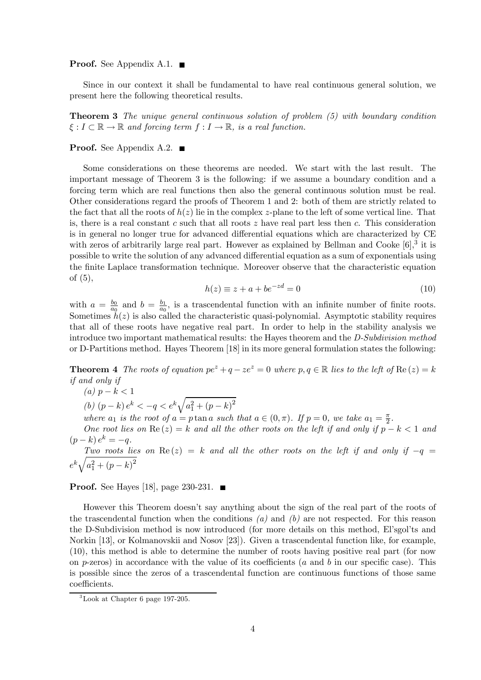#### **Proof.** See Appendix A.1.  $\blacksquare$

Since in our context it shall be fundamental to have real continuous general solution, we present here the following theoretical results.

Theorem 3 The unique general continuous solution of problem (5) with boundary condition  $\xi : I \subset \mathbb{R} \to \mathbb{R}$  and forcing term  $f : I \to \mathbb{R}$ , is a real function.

### **Proof.** See Appendix A.2.  $\blacksquare$

Some considerations on these theorems are needed. We start with the last result. The important message of Theorem 3 is the following: if we assume a boundary condition and a forcing term which are real functions then also the general continuous solution must be real. Other considerations regard the proofs of Theorem 1 and 2: both of them are strictly related to the fact that all the roots of  $h(z)$  lie in the complex z-plane to the left of some vertical line. That is, there is a real constant c such that all roots  $z$  have real part less then  $c$ . This consideration is in general no longer true for advanced differential equations which are characterized by CE with zeros of arbitrarily large real part. However as explained by Bellman and Cooke  $[6]$ , it is possible to write the solution of any advanced differential equation as a sum of exponentials using the finite Laplace transformation technique. Moreover observe that the characteristic equation of (5),

$$
h(z) \equiv z + a + be^{-zd} = 0 \tag{10}
$$

with  $a = \frac{b_0}{a_0}$  and  $b = \frac{b_1}{a_0}$ , is a trascendental function with an infinite number of finite roots. Sometimes  $h(z)$  is also called the characteristic quasi-polynomial. Asymptotic stability requires that all of these roots have negative real part. In order to help in the stability analysis we introduce two important mathematical results: the Hayes theorem and the D-Subdivision method or D-Partitions method. Hayes Theorem [18] in its more general formulation states the following:

**Theorem 4** The roots of equation  $pe^z + q - ze^z = 0$  where  $p, q \in \mathbb{R}$  lies to the left of  $\text{Re}(z) = k$ if and only if

(a)  $p - k < 1$ (b)  $(p-k) e^{k} < -q < e^{k} \sqrt{a_1^2 + (p-k)^2}$ 

where  $a_1$  is the root of  $a = p \tan a$  such that  $a \in (0, \pi)$ . If  $p = 0$ , we take  $a_1 = \frac{\pi}{2}$ .

One root lies on  $\text{Re}(z) = k$  and all the other roots on the left if and only if  $p - k < 1$  and  $(p - k) e^{k} = -a.$ 

Two roots lies on Re(z) = k and all the other roots on the left if and only if  $-q$  $e^{k}\sqrt{a_{1}^{2}+(p-k)^{2}}$ 

**Proof.** See Hayes [18], page 230-231.  $\blacksquare$ 

However this Theorem doesn't say anything about the sign of the real part of the roots of the trascendental function when the conditions  $(a)$  and  $(b)$  are not respected. For this reason the D-Subdivision method is now introduced (for more details on this method, El'sgol'ts and Norkin [13], or Kolmanovskii and Nosov [23]). Given a trascendental function like, for example, (10), this method is able to determine the number of roots having positive real part (for now on p-zeros) in accordance with the value of its coefficients (a and b in our specific case). This is possible since the zeros of a trascendental function are continuous functions of those same coefficients.

 ${}^{3}$ Look at Chapter 6 page 197-205.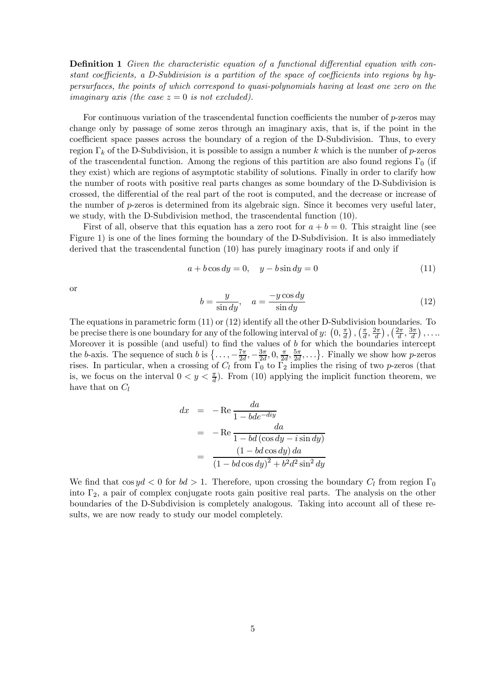**Definition 1** Given the characteristic equation of a functional differential equation with constant coefficients, a D-Subdivision is a partition of the space of coefficients into regions by hypersurfaces, the points of which correspond to quasi-polynomials having at least one zero on the imaginary axis (the case  $z = 0$  is not excluded).

For continuous variation of the trascendental function coefficients the number of p-zeros may change only by passage of some zeros through an imaginary axis, that is, if the point in the coefficient space passes across the boundary of a region of the D-Subdivision. Thus, to every region  $\Gamma_k$  of the D-Subdivision, it is possible to assign a number k which is the number of p-zeros of the trascendental function. Among the regions of this partition are also found regions  $\Gamma_0$  (if they exist) which are regions of asymptotic stability of solutions. Finally in order to clarify how the number of roots with positive real parts changes as some boundary of the D-Subdivision is crossed, the differential of the real part of the root is computed, and the decrease or increase of the number of  $p$ -zeros is determined from its algebraic sign. Since it becomes very useful later, we study, with the D-Subdivision method, the trascendental function (10).

First of all, observe that this equation has a zero root for  $a + b = 0$ . This straight line (see Figure 1) is one of the lines forming the boundary of the D-Subdivision. It is also immediately derived that the trascendental function (10) has purely imaginary roots if and only if

$$
a + b\cos dy = 0, \quad y - b\sin dy = 0 \tag{11}
$$

or

$$
b = \frac{y}{\sin dy}, \quad a = \frac{-y \cos dy}{\sin dy}
$$
 (12)

The equations in parametric form (11) or (12) identify all the other D-Subdivision boundaries. To be precise there is one boundary for any of the following interval of  $y: (0, \frac{\pi}{d}), (\frac{\pi}{d}, \frac{2\pi}{d}), (\frac{2\pi}{d}, \frac{3\pi}{d}), \ldots$ Moreover it is possible (and useful) to find the values of  $b$  for which the boundaries intercept the b-axis. The sequence of such b is  $\{\ldots, -\frac{7\pi}{2d}, -\frac{3\pi}{2d}, 0, \frac{\pi}{2d}, \frac{5\pi}{2d}, \ldots\}$ . Finally we show how p-zeros rises. In particular, when a crossing of  $C_l$  from  $\Gamma_0$  to  $\Gamma_2$  implies the rising of two p-zeros (that is, we focus on the interval  $0 < y < \frac{\pi}{d}$ . From (10) applying the implicit function theorem, we have that on  $C_l$ 

$$
dx = -\text{Re}\frac{da}{1 - bde^{-dy}}
$$
  
= -\text{Re}\frac{da}{1 - bd(\cos dy - i\sin dy)}  
= \frac{(1 - bd\cos dy) da}{(1 - bd\cos dy)^2 + b^2d^2\sin^2 dy}

We find that  $\cos y d < 0$  for  $bd > 1$ . Therefore, upon crossing the boundary  $C_l$  from region  $\Gamma_0$ into  $\Gamma_2$ , a pair of complex conjugate roots gain positive real parts. The analysis on the other boundaries of the D-Subdivision is completely analogous. Taking into account all of these results, we are now ready to study our model completely.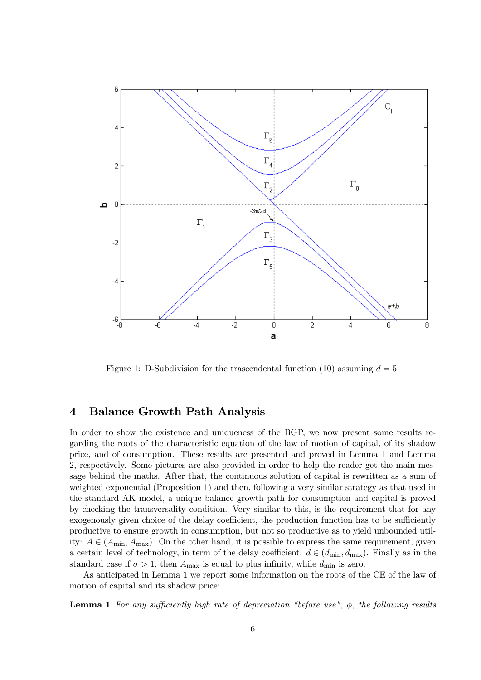

Figure 1: D-Subdivision for the trascendental function (10) assuming  $d = 5$ .

### 4 Balance Growth Path Analysis

In order to show the existence and uniqueness of the BGP, we now present some results regarding the roots of the characteristic equation of the law of motion of capital, of its shadow price, and of consumption. These results are presented and proved in Lemma 1 and Lemma 2, respectively. Some pictures are also provided in order to help the reader get the main message behind the maths. After that, the continuous solution of capital is rewritten as a sum of weighted exponential (Proposition 1) and then, following a very similar strategy as that used in the standard AK model, a unique balance growth path for consumption and capital is proved by checking the transversality condition. Very similar to this, is the requirement that for any exogenously given choice of the delay coefficient, the production function has to be sufficiently productive to ensure growth in consumption, but not so productive as to yield unbounded utility:  $A \in (A_{\text{min}}, A_{\text{max}})$ . On the other hand, it is possible to express the same requirement, given a certain level of technology, in term of the delay coefficient:  $d \in (d_{\min}, d_{\max})$ . Finally as in the standard case if  $\sigma > 1$ , then  $A_{\text{max}}$  is equal to plus infinity, while  $d_{\text{min}}$  is zero.

As anticipated in Lemma 1 we report some information on the roots of the CE of the law of motion of capital and its shadow price:

**Lemma 1** For any sufficiently high rate of depreciation "before use",  $\phi$ , the following results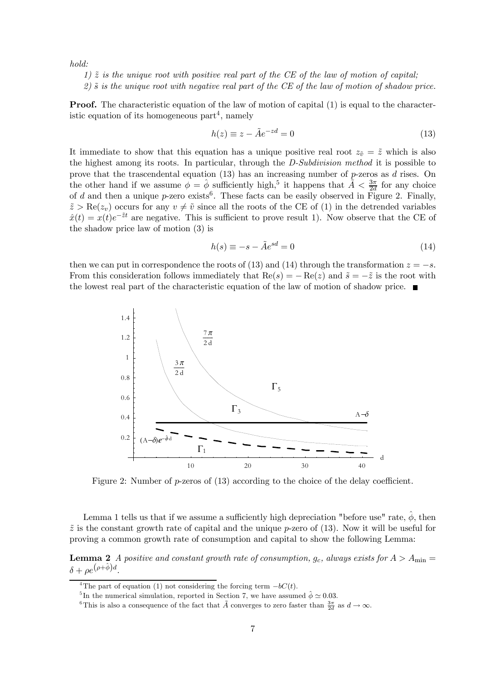hold:

- 1)  $\tilde{z}$  is the unique root with positive real part of the CE of the law of motion of capital;
- $2)$   $\tilde{s}$  is the unique root with negative real part of the CE of the law of motion of shadow price.

**Proof.** The characteristic equation of the law of motion of capital (1) is equal to the characteristic equation of its homogeneous  $part<sup>4</sup>$ , namely

$$
h(z) \equiv z - \tilde{A}e^{-zd} = 0 \tag{13}
$$

It immediate to show that this equation has a unique positive real root  $z_{\tilde{v}} = \tilde{z}$  which is also the highest among its roots. In particular, through the D-Subdivision method it is possible to prove that the trascendental equation  $(13)$  has an increasing number of p-zeros as d rises. On the other hand if we assume  $\phi = \hat{\phi}$  sufficiently high,<sup>5</sup> it happens that  $\tilde{A} < \frac{3\pi}{2d}$  for any choice of d and then a unique p-zero exists<sup>6</sup>. These facts can be easily observed in Figure 2. Finally,  $\tilde{z} > \text{Re}(z_v)$  occurs for any  $v \neq \tilde{v}$  since all the roots of the CE of (1) in the detrended variables  $\hat{x}(t) = x(t)e^{-\tilde{z}t}$  are negative. This is sufficient to prove result 1). Now observe that the CE of the shadow price law of motion (3) is

$$
h(s) \equiv -s - \tilde{A}e^{sd} = 0 \tag{14}
$$

then we can put in correspondence the roots of (13) and (14) through the transformation  $z = -s$ . From this consideration follows immediately that  $Re(s) = -Re(z)$  and  $\tilde{s} = -\tilde{z}$  is the root with the lowest real part of the characteristic equation of the law of motion of shadow price.



Figure 2: Number of p-zeros of (13) according to the choice of the delay coefficient.

Lemma 1 tells us that if we assume a sufficiently high depreciation "before use" rate,  $\hat{\phi}$ , then  $\tilde{z}$  is the constant growth rate of capital and the unique p-zero of (13). Now it will be useful for proving a common growth rate of consumption and capital to show the following Lemma:

**Lemma 2** A positive and constant growth rate of consumption,  $g_c$ , always exists for  $A > A_{\text{min}} =$  $\delta + \rho e^{(\rho + \hat{\phi})d}$ 

<sup>&</sup>lt;sup>4</sup>The part of equation (1) not considering the forcing term  $-bC(t)$ .<br><sup>5</sup>In the numerical simulation, reported in Section 7, we have assumed  $\hat{\phi} \simeq 0.03$ .

<sup>&</sup>lt;sup>6</sup>This is also a consequence of the fact that  $\tilde{A}$  converges to zero faster than  $\frac{3\pi}{2d}$  as  $d \to \infty$ .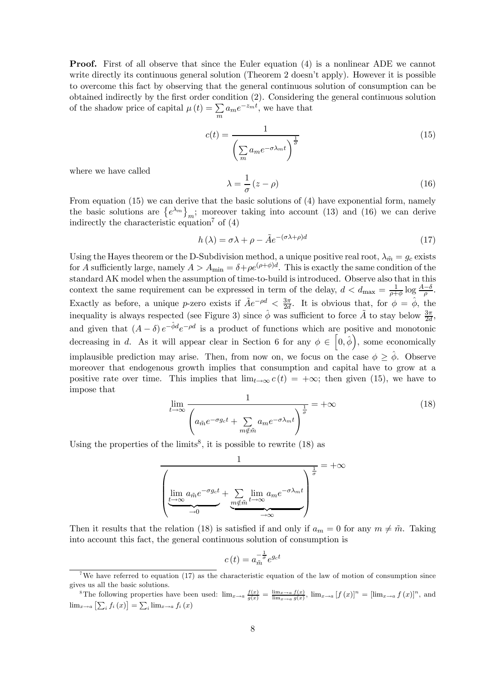**Proof.** First of all observe that since the Euler equation (4) is a nonlinear ADE we cannot write directly its continuous general solution (Theorem 2 doesn't apply). However it is possible to overcome this fact by observing that the general continuous solution of consumption can be obtained indirectly by the first order condition (2). Considering the general continuous solution of the shadow price of capital  $\mu(t) = \sum$  $\sum_{m} a_m e^{-z_m t}$ , we have that

$$
c(t) = \frac{1}{\left(\sum_{m} a_m e^{-\sigma \lambda_m t}\right)^{\frac{1}{\sigma}}}
$$
(15)

where we have called

$$
\lambda = \frac{1}{\sigma} (z - \rho) \tag{16}
$$

From equation (15) we can derive that the basic solutions of (4) have exponential form, namely the basic solutions are  $\{e^{\lambda_m}\}_m$ ; moreover taking into account (13) and (16) we can derive indirectly the characteristic equation<sup>7</sup> of  $(4)$ 

$$
h(\lambda) = \sigma \lambda + \rho - \tilde{A}e^{-(\sigma \lambda + \rho)d}
$$
\n(17)

Using the Hayes theorem or the D-Subdivision method, a unique positive real root,  $\lambda_{\tilde{m}} = g_c$  exists for A sufficiently large, namely  $A > A_{\min} = \delta + \rho e^{(\rho + \phi)d}$ . This is exactly the same condition of the standard AK model when the assumption of time-to-build is introduced. Observe also that in this context the same requirement can be expressed in term of the delay,  $d < d_{\text{max}} = \frac{1}{\rho + \phi} \log \frac{A - \delta}{\rho}$ . Exactly as before, a unique p-zero exists if  $\tilde{A}e^{-\rho d} < \frac{3\pi}{2d}$ . It is obvious that, for  $\phi = \hat{\phi}$ , the inequality is always respected (see Figure 3) since  $\hat{\phi}$  was sufficient to force  $\tilde{A}$  to stay below  $\frac{3\pi}{2d}$ , and given that  $(A - \delta) e^{-\hat{\phi} d} e^{-\rho d}$  is a product of functions which are positive and monotonic decreasing in d. As it will appear clear in Section 6 for any  $\phi \in [0, \hat{\phi})$ , some economically implausible prediction may arise. Then, from now on, we focus on the case  $\phi \geq \hat{\phi}$ . Observe moreover that endogenous growth implies that consumption and capital have to grow at a positive rate over time. This implies that  $\lim_{t\to\infty} c(t)=+\infty$ ; then given (15), we have to impose that

$$
\lim_{t \to \infty} \frac{1}{\left(a_{\tilde{m}}e^{-\sigma g_c t} + \sum_{m \notin \tilde{m}} a_m e^{-\sigma \lambda_m t}\right)^{\frac{1}{\sigma}}} = +\infty
$$
\n(18)

Using the properties of the limits<sup>8</sup>, it is possible to rewrite  $(18)$  as

$$
\frac{1}{\left(\lim_{\substack{t \to \infty \\ \theta \to 0}} a_{\tilde{m}} e^{-\sigma g_c t} + \sum_{\substack{m \notin \tilde{m} \\ \theta \to \infty}} \lim_{t \to \infty} a_m e^{-\sigma \lambda_m t} \right)^{\frac{1}{\sigma}}}
$$

Then it results that the relation (18) is satisfied if and only if  $a_m = 0$  for any  $m \neq \tilde{m}$ . Taking into account this fact, the general continuous solution of consumption is

$$
c(t) = a_{\tilde{m}}^{-\frac{1}{\sigma}} e^{g_c t}
$$

<sup>&</sup>lt;sup>7</sup>We have referred to equation (17) as the characteristic equation of the law of motion of consumption since gives us all the basic solutions.

<sup>&</sup>lt;sup>8</sup>The following properties have been used:  $\lim_{x\to a} \frac{f(x)}{g(x)} = \frac{\lim_{x\to a} f(x)}{\lim_{x\to a} g(x)}$ ,  $\lim_{x\to a} [f(x)]^n = [\lim_{x\to a} f(x)]^n$ , and  $\lim_{x\to a} \left[ \sum_i f_i(x) \right] = \sum_i \lim_{x\to a} f_i(x)$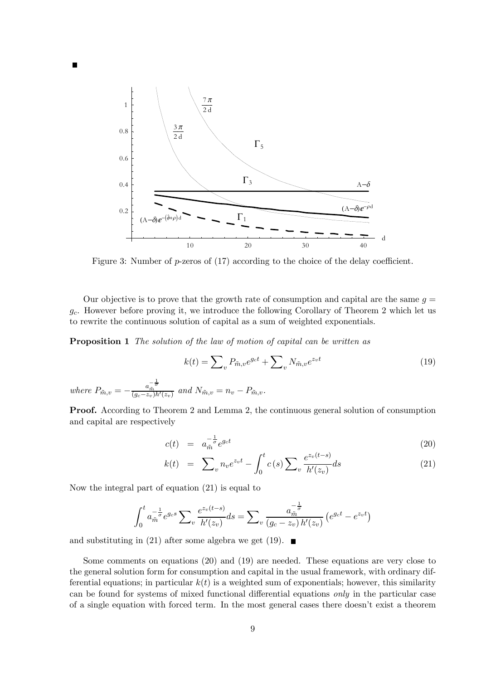

Figure 3: Number of p-zeros of (17) according to the choice of the delay coefficient.

Our objective is to prove that the growth rate of consumption and capital are the same  $q =$  $g_c$ . However before proving it, we introduce the following Corollary of Theorem 2 which let us to rewrite the continuous solution of capital as a sum of weighted exponentials.

**Proposition 1** The solution of the law of motion of capital can be written as

$$
k(t) = \sum_{v} P_{\tilde{m},v} e^{g_c t} + \sum_{v} N_{\tilde{m},v} e^{z_v t}
$$
\n
$$
\frac{1}{\sigma}
$$
\n
$$
k(t) = \sum_{v} P_{\tilde{m},v} e^{g_c t} + \sum_{v} N_{\tilde{m},v} e^{z_v t}
$$
\n
$$
(19)
$$

where  $P_{\tilde{m},v} = -\frac{a_{\tilde{m}}^{-\frac{1}{\sigma}}}{(g_c-z_v)h'(z_v)}$  and  $N_{\tilde{m},v} = n_v - P_{\tilde{m},v}$ .

Proof. According to Theorem 2 and Lemma 2, the continuous general solution of consumption and capital are respectively

$$
c(t) = a_{\tilde{m}}^{-\frac{1}{\sigma}} e^{g_c t} \tag{20}
$$

$$
k(t) = \sum_{v} n_{v} e^{z_{v}t} - \int_{0}^{t} c(s) \sum_{v} \frac{e^{z_{v}(t-s)}}{h'(z_{v})} ds
$$
 (21)

Now the integral part of equation (21) is equal to

$$
\int_0^t a_m^{-\frac{1}{\sigma}} e^{g_c s} \sum_v \frac{e^{z_v(t-s)}}{h'(z_v)} ds = \sum_v \frac{a_m^{-\frac{1}{\sigma}}}{(g_c - z_v) h'(z_v)} \left( e^{g_c t} - e^{z_v t} \right)
$$

and substituting in (21) after some algebra we get (19).  $\blacksquare$ 

Some comments on equations (20) and (19) are needed. These equations are very close to the general solution form for consumption and capital in the usual framework, with ordinary differential equations; in particular  $k(t)$  is a weighted sum of exponentials; however, this similarity can be found for systems of mixed functional differential equations only in the particular case of a single equation with forced term. In the most general cases there doesn't exist a theorem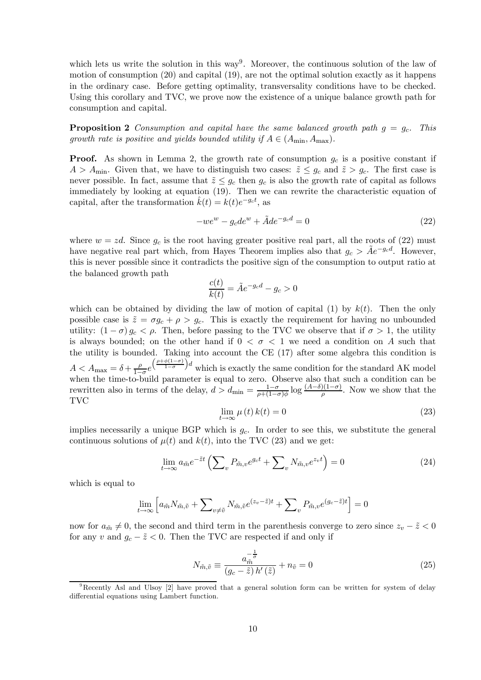which lets us write the solution in this way<sup>9</sup>. Moreover, the continuous solution of the law of motion of consumption (20) and capital (19), are not the optimal solution exactly as it happens in the ordinary case. Before getting optimality, transversality conditions have to be checked. Using this corollary and TVC, we prove now the existence of a unique balance growth path for consumption and capital.

**Proposition 2** Consumption and capital have the same balanced growth path  $g = g_c$ . This growth rate is positive and yields bounded utility if  $A \in (A_{\min}, A_{\max})$ .

**Proof.** As shown in Lemma 2, the growth rate of consumption  $g_c$  is a positive constant if  $A > A_{\text{min}}$ . Given that, we have to distinguish two cases:  $\tilde{z} \leq g_c$  and  $\tilde{z} > g_c$ . The first case is never possible. In fact, assume that  $\tilde{z} \leq g_c$  then  $g_c$  is also the growth rate of capital as follows immediately by looking at equation (19). Then we can rewrite the characteristic equation of capital, after the transformation  $\hat{k}(t) = k(t)e^{-g_ct}$ , as

$$
-we^w - g_c de^w + \tilde{A}de^{-g_c d} = 0
$$
\n<sup>(22)</sup>

where  $w = zd$ . Since  $g_c$  is the root having greater positive real part, all the roots of (22) must have negative real part which, from Hayes Theorem implies also that  $g_c > Ae^{-g_c d}$ . However, this is never possible since it contradicts the positive sign of the consumption to output ratio at the balanced growth path

$$
\frac{c(t)}{k(t)} = \tilde{A}e^{-g_c d} - g_c > 0
$$

which can be obtained by dividing the law of motion of capital (1) by  $k(t)$ . Then the only possible case is  $\tilde{z} = \sigma g_c + \rho > g_c$ . This is exactly the requirement for having no unbounded utility:  $(1 - \sigma) g_c < \rho$ . Then, before passing to the TVC we observe that if  $\sigma > 1$ , the utility is always bounded; on the other hand if  $0 < \sigma < 1$  we need a condition on A such that the utility is bounded. Taking into account the CE (17) after some algebra this condition is  $A < A_{\text{max}} = \delta + \frac{\rho}{1-\sigma}e$  $\left(\frac{\rho+\phi(1-\sigma)}{1-\sigma}\right)$  $\int d$  which is exactly the same condition for the standard AK model when the time-to-build parameter is equal to zero. Observe also that such a condition can be rewritten also in terms of the delay,  $d > d_{\min} = \frac{1-\sigma}{\rho+(1-\sigma)\phi} \log \frac{(A-\delta)(1-\sigma)}{\rho}$ . Now we show that the TVC

$$
\lim_{t \to \infty} \mu(t) k(t) = 0 \tag{23}
$$

implies necessarily a unique BGP which is  $g_c$ . In order to see this, we substitute the general continuous solutions of  $\mu(t)$  and  $k(t)$ , into the TVC (23) and we get:

$$
\lim_{t \to \infty} a_{\tilde{m}} e^{-\tilde{z}t} \left( \sum_{v} P_{\tilde{m},v} e^{g_c t} + \sum_{v} N_{\tilde{m},v} e^{z_v t} \right) = 0 \tag{24}
$$

which is equal to

$$
\lim_{t \to \infty} \left[ a_{\tilde{m}} N_{\tilde{m},\tilde{v}} + \sum_{v \neq \tilde{v}} N_{\tilde{m},\tilde{v}} e^{(z_v - \tilde{z})t} + \sum_{v} P_{\tilde{m},v} e^{(g_c - \tilde{z})t} \right] = 0
$$

now for  $a_{\tilde{m}} \neq 0$ , the second and third term in the parenthesis converge to zero since  $z_v - \tilde{z} < 0$ for any v and  $g_c - \tilde{z} < 0$ . Then the TVC are respected if and only if

$$
N_{\tilde{m},\tilde{v}} \equiv \frac{a_{\tilde{m}}^{-\frac{1}{\sigma}}}{\left(g_c - \tilde{z}\right)h'\left(\tilde{z}\right)} + n_{\tilde{v}} = 0\tag{25}
$$

<sup>&</sup>lt;sup>9</sup>Recently Asl and Ulsoy [2] have proved that a general solution form can be written for system of delay differential equations using Lambert function.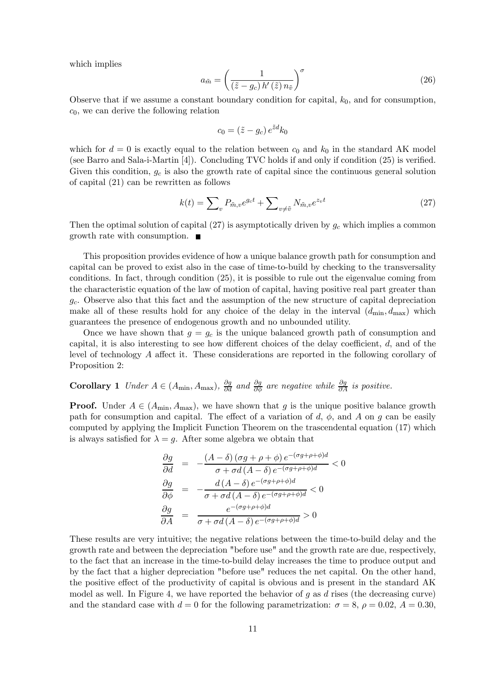which implies

$$
a_{\tilde{m}} = \left(\frac{1}{(\tilde{z} - g_c) h'(\tilde{z}) n_{\tilde{v}}}\right)^{\sigma}
$$
\n(26)

Observe that if we assume a constant boundary condition for capital,  $k_0$ , and for consumption,  $c_0$ , we can derive the following relation

$$
c_0 = (\tilde{z} - g_c) e^{\tilde{z}d} k_0
$$

which for  $d = 0$  is exactly equal to the relation between  $c_0$  and  $k_0$  in the standard AK model (see Barro and Sala-i-Martin [4]). Concluding TVC holds if and only if condition (25) is verified. Given this condition,  $g_c$  is also the growth rate of capital since the continuous general solution of capital (21) can be rewritten as follows

$$
k(t) = \sum_{v} P_{\tilde{m},v} e^{g_c t} + \sum_{v \neq \tilde{v}} N_{\tilde{m},v} e^{z_v t} \tag{27}
$$

Then the optimal solution of capital  $(27)$  is asymptotically driven by  $g_c$  which implies a common growth rate with consumption.

This proposition provides evidence of how a unique balance growth path for consumption and capital can be proved to exist also in the case of time-to-build by checking to the transversality conditions. In fact, through condition (25), it is possible to rule out the eigenvalue coming from the characteristic equation of the law of motion of capital, having positive real part greater than  $g_c$ . Observe also that this fact and the assumption of the new structure of capital depreciation make all of these results hold for any choice of the delay in the interval  $(d_{min}, d_{max})$  which guarantees the presence of endogenous growth and no unbounded utility.

Once we have shown that  $g = g_c$  is the unique balanced growth path of consumption and capital, it is also interesting to see how different choices of the delay coefficient,  $d$ , and of the level of technology A affect it. These considerations are reported in the following corollary of Proposition 2:

# Corollary 1 Under  $A \in (A_{\min}, A_{\max})$ ,  $\frac{\partial g}{\partial d}$  and  $\frac{\partial g}{\partial \phi}$  are negative while  $\frac{\partial g}{\partial A}$  is positive.

**Proof.** Under  $A \in (A_{\min}, A_{\max})$ , we have shown that g is the unique positive balance growth path for consumption and capital. The effect of a variation of  $d, \phi$ , and  $A$  on  $g$  can be easily computed by applying the Implicit Function Theorem on the trascendental equation (17) which is always satisfied for  $\lambda = q$ . After some algebra we obtain that

$$
\frac{\partial g}{\partial d} = -\frac{(A - \delta) (\sigma g + \rho + \phi) e^{-(\sigma g + \rho + \phi)d}}{\sigma + \sigma d (A - \delta) e^{-(\sigma g + \rho + \phi)d}} < 0
$$

$$
\frac{\partial g}{\partial \phi} = -\frac{d (A - \delta) e^{-(\sigma g + \rho + \phi)d}}{\sigma + \sigma d (A - \delta) e^{-(\sigma g + \rho + \phi)d}} < 0
$$

$$
\frac{\partial g}{\partial A} = \frac{e^{-(\sigma g + \rho + \phi)d}}{\sigma + \sigma d (A - \delta) e^{-(\sigma g + \rho + \phi)d}} > 0
$$

These results are very intuitive; the negative relations between the time-to-build delay and the growth rate and between the depreciation "before use" and the growth rate are due, respectively, to the fact that an increase in the time-to-build delay increases the time to produce output and by the fact that a higher depreciation "before use" reduces the net capital. On the other hand, the positive effect of the productivity of capital is obvious and is present in the standard AK model as well. In Figure 4, we have reported the behavior of q as  $d$  rises (the decreasing curve) and the standard case with  $d = 0$  for the following parametrization:  $\sigma = 8$ ,  $\rho = 0.02$ ,  $A = 0.30$ ,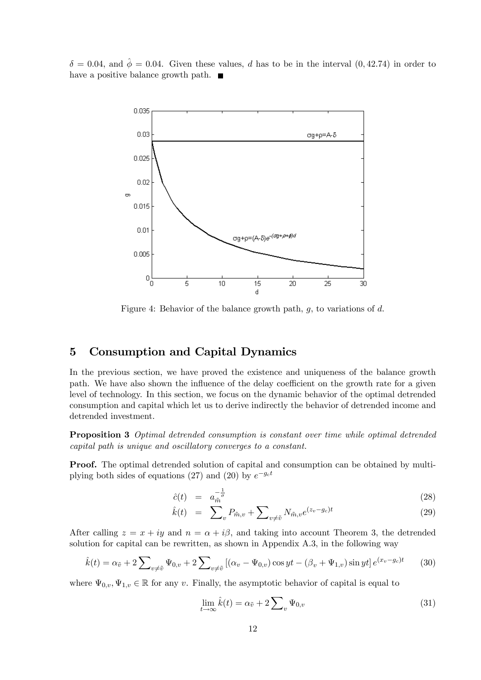$\delta = 0.04$ , and  $\hat{\phi} = 0.04$ . Given these values, d has to be in the interval  $(0, 42.74)$  in order to have a positive balance growth path.  $\blacksquare$ 



Figure 4: Behavior of the balance growth path,  $q$ , to variations of  $d$ .

## 5 Consumption and Capital Dynamics

In the previous section, we have proved the existence and uniqueness of the balance growth path. We have also shown the influence of the delay coefficient on the growth rate for a given level of technology. In this section, we focus on the dynamic behavior of the optimal detrended consumption and capital which let us to derive indirectly the behavior of detrended income and detrended investment.

Proposition 3 Optimal detrended consumption is constant over time while optimal detrended capital path is unique and oscillatory converges to a constant.

**Proof.** The optimal detrended solution of capital and consumption can be obtained by multiplying both sides of equations (27) and (20) by  $e^{-g_c t}$ 

$$
\hat{c}(t) = a_{\tilde{m}}^{-\frac{1}{\sigma}} \tag{28}
$$

$$
\hat{k}(t) = \sum_{v} P_{\tilde{m},v} + \sum_{v \neq \tilde{v}} N_{\tilde{m},v} e^{(z_v - g_c)t} \tag{29}
$$

After calling  $z = x + iy$  and  $n = \alpha + i\beta$ , and taking into account Theorem 3, the detrended solution for capital can be rewritten, as shown in Appendix A.3, in the following way

$$
\hat{k}(t) = \alpha_{\tilde{v}} + 2 \sum_{v \neq \tilde{v}} \Psi_{0,v} + 2 \sum_{v \neq \tilde{v}} \left[ (\alpha_v - \Psi_{0,v}) \cos yt - (\beta_v + \Psi_{1,v}) \sin yt \right] e^{(x_v - g_c)t}
$$
(30)

where  $\Psi_{0,v}, \Psi_{1,v} \in \mathbb{R}$  for any v. Finally, the asymptotic behavior of capital is equal to

$$
\lim_{t \to \infty} \hat{k}(t) = \alpha_{\tilde{v}} + 2 \sum_{v} \Psi_{0,v} \tag{31}
$$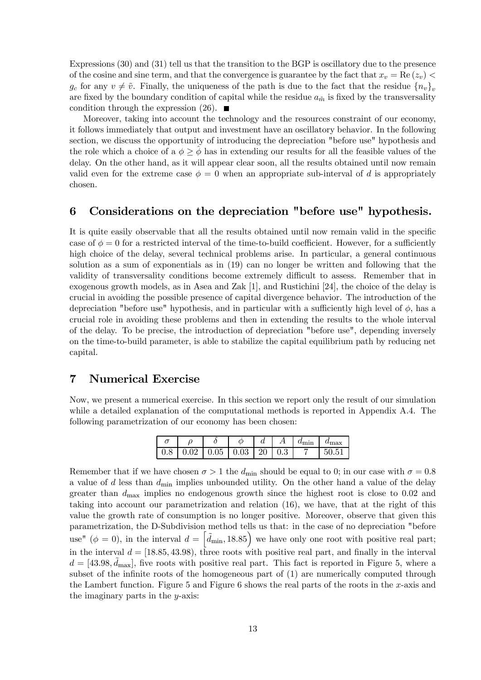Expressions (30) and (31) tell us that the transition to the BGP is oscillatory due to the presence of the cosine and sine term, and that the convergence is guarantee by the fact that  $x_v = \text{Re}(z_v)$  $g_c$  for any  $v \neq \tilde{v}$ . Finally, the uniqueness of the path is due to the fact that the residue  ${n_v}_v$ are fixed by the boundary condition of capital while the residue  $a_{\tilde{m}}$  is fixed by the transversality condition through the expression  $(26)$ .

Moreover, taking into account the technology and the resources constraint of our economy, it follows immediately that output and investment have an oscillatory behavior. In the following section, we discuss the opportunity of introducing the depreciation "before use" hypothesis and the role which a choice of a  $\phi \geq \phi$  has in extending our results for all the feasible values of the delay. On the other hand, as it will appear clear soon, all the results obtained until now remain valid even for the extreme case  $\phi = 0$  when an appropriate sub-interval of d is appropriately chosen.

### 6 Considerations on the depreciation "before use" hypothesis.

It is quite easily observable that all the results obtained until now remain valid in the specific case of  $\phi = 0$  for a restricted interval of the time-to-build coefficient. However, for a sufficiently high choice of the delay, several technical problems arise. In particular, a general continuous solution as a sum of exponentials as in (19) can no longer be written and following that the validity of transversality conditions become extremely difficult to assess. Remember that in exogenous growth models, as in Asea and Zak [1], and Rustichini [24], the choice of the delay is crucial in avoiding the possible presence of capital divergence behavior. The introduction of the depreciation "before use" hypothesis, and in particular with a sufficiently high level of  $\phi$ , has a crucial role in avoiding these problems and then in extending the results to the whole interval of the delay. To be precise, the introduction of depreciation "before use", depending inversely on the time-to-build parameter, is able to stabilize the capital equilibrium path by reducing net capital.

### 7 Numerical Exercise

Now, we present a numerical exercise. In this section we report only the result of our simulation while a detailed explanation of the computational methods is reported in Appendix A.4. The following parametrization of our economy has been chosen:

|                  |  |                                 | w |     | $a_{\min}$ | $u_{\text{max}}$ |
|------------------|--|---------------------------------|---|-----|------------|------------------|
| 0.8 <sub>1</sub> |  | $0.02$   $0.05$   $0.03$   $20$ |   | 0.3 |            | 50 h             |

Remember that if we have chosen  $\sigma > 1$  the  $d_{\text{min}}$  should be equal to 0; in our case with  $\sigma = 0.8$ a value of  $d$  less than  $d_{\text{min}}$  implies unbounded utility. On the other hand a value of the delay greater than  $d_{\text{max}}$  implies no endogenous growth since the highest root is close to 0.02 and taking into account our parametrization and relation (16), we have, that at the right of this value the growth rate of consumption is no longer positive. Moreover, observe that given this parametrization, the D-Subdivision method tells us that: in the case of no depreciation "before use" ( $\phi = 0$ ), in the interval  $d = \left[ \tilde{d}_{\min}, 18.85 \right]$  we have only one root with positive real part; in the interval  $d = [18.85, 43.98)$ , three roots with positive real part, and finally in the interval  $d = [43.98, \tilde{d}_{\text{max}}]$ , five roots with positive real part. This fact is reported in Figure 5, where a subset of the infinite roots of the homogeneous part of (1) are numerically computed through the Lambert function. Figure 5 and Figure 6 shows the real parts of the roots in the x-axis and the imaginary parts in the  $y$ -axis: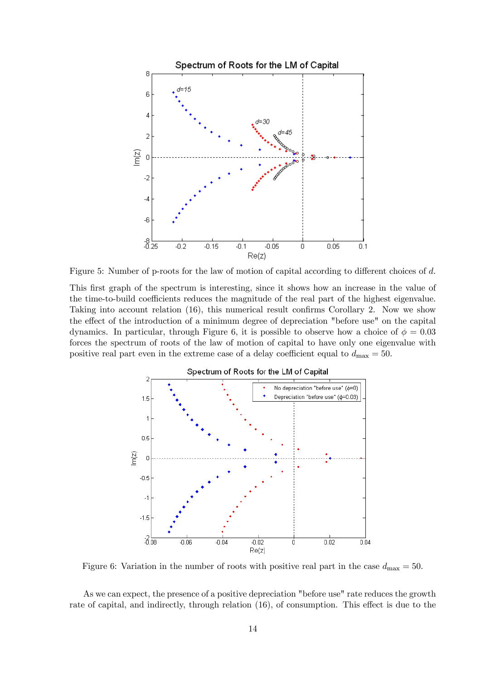

Figure 5: Number of p-roots for the law of motion of capital according to different choices of d.

This first graph of the spectrum is interesting, since it shows how an increase in the value of the time-to-build coefficients reduces the magnitude of the real part of the highest eigenvalue. Taking into account relation (16), this numerical result confirms Corollary 2. Now we show the effect of the introduction of a minimum degree of depreciation "before use" on the capital dynamics. In particular, through Figure 6, it is possible to observe how a choice of  $\phi = 0.03$ forces the spectrum of roots of the law of motion of capital to have only one eigenvalue with positive real part even in the extreme case of a delay coefficient equal to  $d_{\text{max}} = 50$ .



Figure 6: Variation in the number of roots with positive real part in the case  $d_{\text{max}} = 50$ .

As we can expect, the presence of a positive depreciation "before use" rate reduces the growth rate of capital, and indirectly, through relation (16), of consumption. This effect is due to the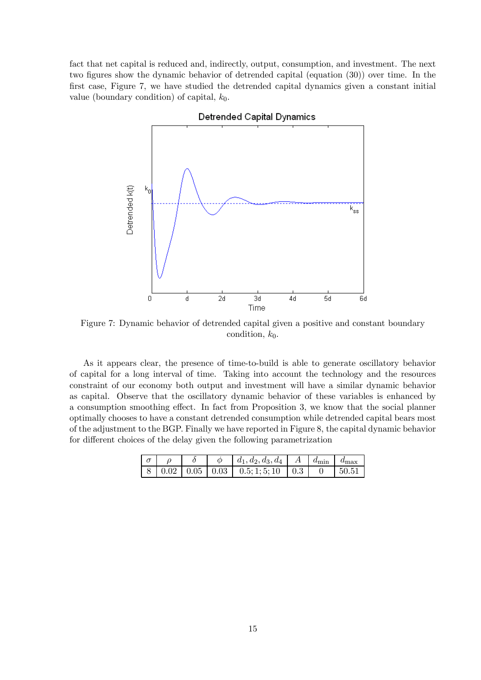fact that net capital is reduced and, indirectly, output, consumption, and investment. The next two figures show the dynamic behavior of detrended capital (equation (30)) over time. In the first case, Figure 7, we have studied the detrended capital dynamics given a constant initial value (boundary condition) of capital,  $k_0$ .



Figure 7: Dynamic behavior of detrended capital given a positive and constant boundary condition,  $k_0$ .

As it appears clear, the presence of time-to-build is able to generate oscillatory behavior of capital for a long interval of time. Taking into account the technology and the resources constraint of our economy both output and investment will have a similar dynamic behavior as capital. Observe that the oscillatory dynamic behavior of these variables is enhanced by a consumption smoothing effect. In fact from Proposition 3, we know that the social planner optimally chooses to have a constant detrended consumption while detrended capital bears most of the adjustment to the BGP. Finally we have reported in Figure 8, the capital dynamic behavior for different choices of the delay given the following parametrization

|  |  | $\mid d_1, d_2, d_3, d_4 \mid A \mid d_{\min} \mid \in$                 |  | $d_{\text{max}}$ |
|--|--|-------------------------------------------------------------------------|--|------------------|
|  |  | $\mid 8 \mid 0.02 \mid 0.05 \mid 0.03 \mid 0.5; 1; 5; 10 \mid 0.3 \mid$ |  |                  |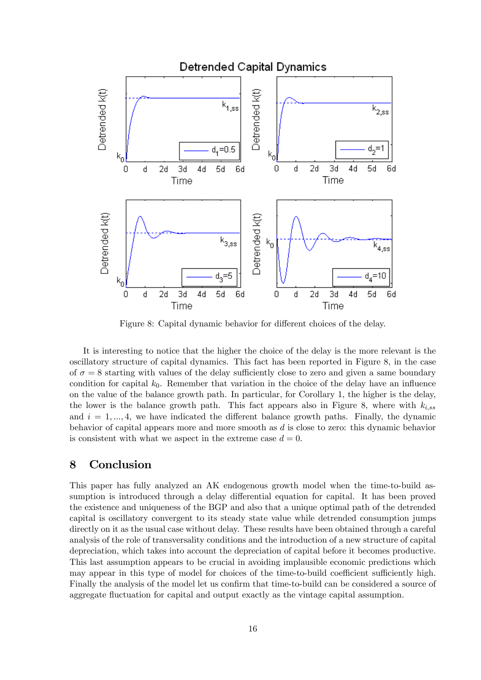

Figure 8: Capital dynamic behavior for different choices of the delay.

It is interesting to notice that the higher the choice of the delay is the more relevant is the oscillatory structure of capital dynamics. This fact has been reported in Figure 8, in the case of  $\sigma = 8$  starting with values of the delay sufficiently close to zero and given a same boundary condition for capital  $k_0$ . Remember that variation in the choice of the delay have an influence on the value of the balance growth path. In particular, for Corollary 1, the higher is the delay, the lower is the balance growth path. This fact appears also in Figure 8, where with  $k_{i,ss}$ and  $i = 1, \ldots, 4$ , we have indicated the different balance growth paths. Finally, the dynamic behavior of capital appears more and more smooth as d is close to zero: this dynamic behavior is consistent with what we aspect in the extreme case  $d = 0$ .

# 8 Conclusion

This paper has fully analyzed an AK endogenous growth model when the time-to-build assumption is introduced through a delay differential equation for capital. It has been proved the existence and uniqueness of the BGP and also that a unique optimal path of the detrended capital is oscillatory convergent to its steady state value while detrended consumption jumps directly on it as the usual case without delay. These results have been obtained through a careful analysis of the role of transversality conditions and the introduction of a new structure of capital depreciation, which takes into account the depreciation of capital before it becomes productive. This last assumption appears to be crucial in avoiding implausible economic predictions which may appear in this type of model for choices of the time-to-build coefficient sufficiently high. Finally the analysis of the model let us confirm that time-to-build can be considered a source of aggregate fluctuation for capital and output exactly as the vintage capital assumption.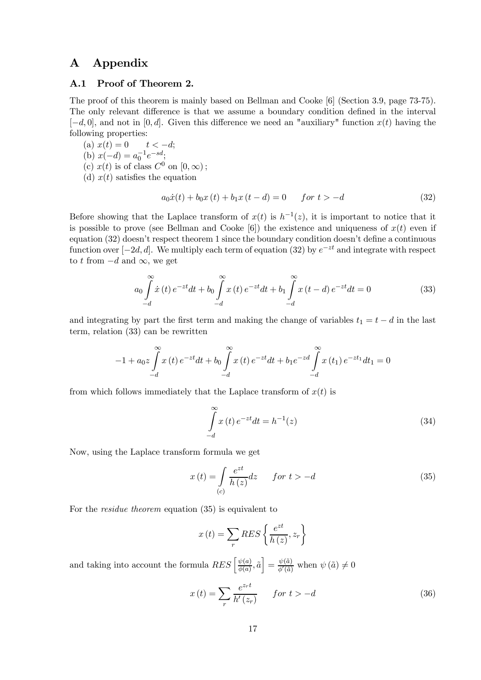## A Appendix

### A.1 Proof of Theorem 2.

The proof of this theorem is mainly based on Bellman and Cooke [6] (Section 3.9, page 73-75). The only relevant difference is that we assume a boundary condition defined in the interval  $[-d, 0]$ , and not in [0, d]. Given this difference we need an "auxiliary" function  $x(t)$  having the following properties:

(a)  $x(t) = 0$   $t < -d;$ (b)  $x(-d) = a_0^{-1}e^{-sd}$ ; (c)  $x(t)$  is of class  $C^0$  on  $[0,\infty)$ ; (d)  $x(t)$  satisfies the equation

$$
a_0 \dot{x}(t) + b_0 x(t) + b_1 x(t - d) = 0 \qquad \text{for } t > -d \tag{32}
$$

Before showing that the Laplace transform of  $x(t)$  is  $h^{-1}(z)$ , it is important to notice that it is possible to prove (see Bellman and Cooke [6]) the existence and uniqueness of  $x(t)$  even if equation (32) doesn't respect theorem 1 since the boundary condition doesn't define a continuous function over  $[-2d, d]$ . We multiply each term of equation (32) by  $e^{-zt}$  and integrate with respect to t from  $-d$  and  $\infty$ , we get

$$
a_0 \int_{-d}^{\infty} \dot{x}(t) e^{-zt} dt + b_0 \int_{-d}^{\infty} x(t) e^{-zt} dt + b_1 \int_{-d}^{\infty} x(t - d) e^{-zt} dt = 0
$$
 (33)

and integrating by part the first term and making the change of variables  $t_1 = t - d$  in the last term, relation (33) can be rewritten

$$
-1 + a_0 z \int_{-d}^{\infty} x(t) e^{-zt} dt + b_0 \int_{-d}^{\infty} x(t) e^{-zt} dt + b_1 e^{-zd} \int_{-d}^{\infty} x(t_1) e^{-zt_1} dt_1 = 0
$$

from which follows immediately that the Laplace transform of  $x(t)$  is

$$
\int_{-d}^{\infty} x(t) e^{-zt} dt = h^{-1}(z)
$$
\n(34)

Now, using the Laplace transform formula we get

$$
x(t) = \int_{(c)} \frac{e^{zt}}{h(z)} dz \qquad \text{for } t > -d \tag{35}
$$

For the residue theorem equation (35) is equivalent to

$$
x(t) = \sum_{r} RES\left\{\frac{e^{zt}}{h\left(z\right)}, z_{r}\right\}
$$

and taking into account the formula  $RES\left[\frac{\psi(a)}{\phi(a)}, \tilde{a}\right] = \frac{\psi(\tilde{a})}{\phi'(\tilde{a})}$  when  $\psi(\tilde{a}) \neq 0$ 

$$
x(t) = \sum_{r} \frac{e^{z_r t}}{h'(z_r)} \qquad \text{for } t > -d \tag{36}
$$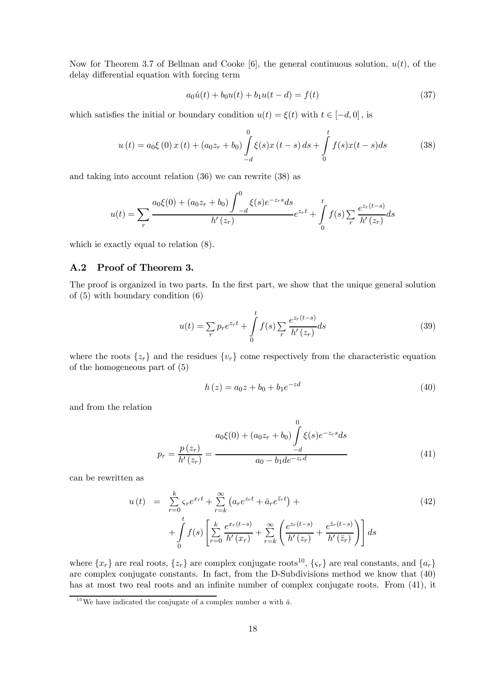Now for Theorem 3.7 of Bellman and Cooke [6], the general continuous solution,  $u(t)$ , of the delay differential equation with forcing term

$$
a_0\dot{u}(t) + b_0u(t) + b_1u(t - d) = f(t)
$$
\n(37)

which satisfies the initial or boundary condition  $u(t) = \xi(t)$  with  $t \in [-d, 0]$ , is

$$
u(t) = a_0 \xi(0) x(t) + (a_0 z_r + b_0) \int_{-d}^{0} \xi(s) x(t-s) ds + \int_{0}^{t} f(s) x(t-s) ds
$$
 (38)

and taking into account relation (36) we can rewrite (38) as

$$
u(t) = \sum_{r} \frac{a_0 \xi(0) + (a_0 z_r + b_0) \int_{-d}^{0} \xi(s) e^{-z_r s} ds}{h'(z_r)} e^{z_r t} + \int_{0}^{t} f(s) \sum_{r} \frac{e^{z_r (t-s)}}{h'(z_r)} ds
$$

which ie exactly equal to relation (8).

### A.2 Proof of Theorem 3.

The proof is organized in two parts. In the first part, we show that the unique general solution of (5) with boundary condition (6)

$$
u(t) = \sum_{r} p_r e^{z_r t} + \int_{0}^{t} f(s) \sum_{r} \frac{e^{z_r (t-s)}}{h'(z_r)} ds
$$
 (39)

where the roots  $\{z_r\}$  and the residues  $\{v_r\}$  come respectively from the characteristic equation of the homogeneous part of (5)

$$
h(z) = a_0 z + b_0 + b_1 e^{-zd}
$$
\n(40)

and from the relation

$$
p_r = \frac{p(z_r)}{h'(z_r)} = \frac{a_0 \xi(0) + (a_0 z_r + b_0) \int_{-d}^{0} \xi(s) e^{-z_r s} ds}{a_0 - b_1 d e^{-z_r d}}
$$
(41)

can be rewritten as

$$
u(t) = \sum_{r=0}^{k} \zeta_r e^{x_r t} + \sum_{r=k}^{\infty} \left( a_r e^{z_r t} + \bar{a}_r e^{\bar{z}_r t} \right) + \int_{t}^{t} f(s) \left[ \sum_{r=0}^{k} \frac{e^{x_r (t-s)}}{h'(x_r)} + \sum_{r=k}^{\infty} \left( \frac{e^{z_r (t-s)}}{h'(z_r)} + \frac{e^{\bar{z}_r (t-s)}}{h'(\bar{z}_r)} \right) \right] ds
$$
\n(42)

where  $\{x_r\}$  are real roots,  $\{z_r\}$  are complex conjugate roots<sup>10</sup>,  $\{\zeta_r\}$  are real constants, and  $\{a_r\}$ are complex conjugate constants. In fact, from the D-Subdivisions method we know that (40) has at most two real roots and an infinite number of complex conjugate roots. From  $(41)$ , it

<sup>&</sup>lt;sup>10</sup>We have indicated the conjugate of a complex number a with  $\bar{a}$ .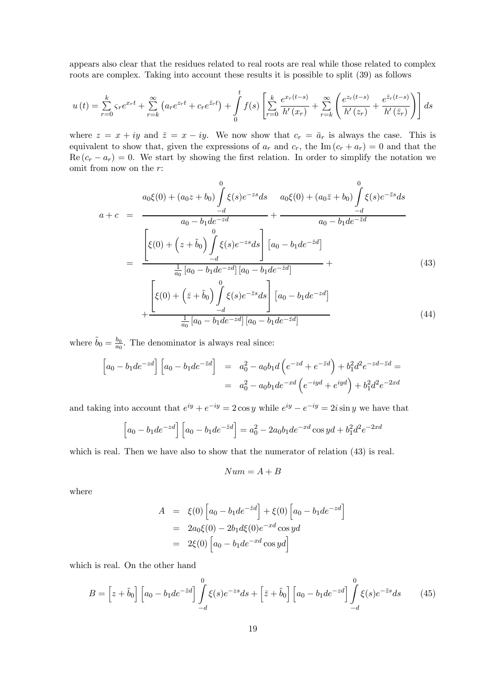appears also clear that the residues related to real roots are real while those related to complex roots are complex. Taking into account these results it is possible to split (39) as follows

$$
u(t) = \sum_{r=0}^{k} \zeta_r e^{x_r t} + \sum_{r=k}^{\infty} \left( a_r e^{z_r t} + c_r e^{\bar{z}_r t} \right) + \int_{0}^{t} f(s) \left[ \sum_{r=0}^{k} \frac{e^{x_r (t-s)}}{h'(x_r)} + \sum_{r=k}^{\infty} \left( \frac{e^{z_r (t-s)}}{h'(z_r)} + \frac{e^{\bar{z}_r (t-s)}}{h'(\bar{z}_r)} \right) \right] ds
$$

where  $z = x + iy$  and  $\overline{z} = x - iy$ . We now show that  $c_r = \overline{a}_r$  is always the case. This is equivalent to show that, given the expressions of  $a_r$  and  $c_r$ , the Im  $(c_r + a_r) = 0$  and that the  $\text{Re}(c_r - a_r) = 0.$  We start by showing the first relation. In order to simplify the notation we omit from now on the  $r$ :

$$
a_{0}\xi(0) + (a_{0}z + b_{0}) \int_{-d}^{0} \xi(s)e^{-zs}ds \quad a_{0}\xi(0) + (a_{0}\bar{z} + b_{0}) \int_{-d}^{0} \xi(s)e^{-\bar{z}s}ds
$$
  
\n
$$
a_{1} + c_{2} = \frac{-d}{a_{0} - b_{1}de^{-z}d} + \frac{-d}{a_{0} - b_{1}de^{-\bar{z}d}}\n= \frac{\left[\xi(0) + \left(z + \tilde{b}_{0}\right) \int_{-d}^{0} \xi(s)e^{-zs}ds\right] \left[a_{0} - b_{1}de^{-\bar{z}d}\right]}{\frac{1}{a_{0}}\left[a_{0} - b_{1}de^{-z}d\right] \left[a_{0} - b_{1}de^{-\bar{z}d}\right]} + \frac{\left[\xi(0) + \left(\bar{z} + \tilde{b}_{0}\right) \int_{-d}^{0} \xi(s)e^{-\bar{z}s}ds\right] \left[a_{0} - b_{1}de^{-z}d\right]}{\frac{1}{a_{0}}\left[a_{0} - b_{1}de^{-z}d\right] \left[a_{0} - b_{1}de^{-\bar{z}d}\right]} \quad (44)
$$

where  $\tilde{b}_0 = \frac{b_0}{a_0}$ . The denominator is always real since:

$$
\[a_0 - b_1 de^{-zd}\] \begin{bmatrix} a_0 - b_1 de^{-zd} \end{bmatrix} = a_0^2 - a_0 b_1 d \left( e^{-zd} + e^{-zd} \right) + b_1^2 d^2 e^{-zd - zd} = a_0^2 - a_0 b_1 de^{-xd} \left( e^{-iyd} + e^{iyd} \right) + b_1^2 d^2 e^{-2xd}
$$

and taking into account that  $e^{iy} + e^{-iy} = 2 \cos y$  while  $e^{iy} - e^{-iy} = 2i \sin y$  we have that

$$
\[a_0 - b_1de^{-zd}\] \left[a_0 - b_1de^{-\bar{z}d}\right] = a_0^2 - 2a_0b_1de^{-xd}\cos yd + b_1^2d^2e^{-2xd}
$$

which is real. Then we have also to show that the numerator of relation (43) is real.

$$
Num = A + B
$$

where

$$
A = \xi(0) \left[ a_0 - b_1 d e^{-\bar{z} d} \right] + \xi(0) \left[ a_0 - b_1 d e^{-z d} \right]
$$
  
=  $2a_0 \xi(0) - 2b_1 d \xi(0) e^{-x d} \cos y d$   
=  $2\xi(0) \left[ a_0 - b_1 d e^{-x d} \cos y d \right]$ 

which is real. On the other hand

$$
B = \left[z + \tilde{b}_0\right] \left[a_0 - b_1 de^{-\bar{z}d}\right] \int_{-d}^{0} \xi(s)e^{-zs}ds + \left[\bar{z} + \tilde{b}_0\right] \left[a_0 - b_1 de^{-zd}\right] \int_{-d}^{0} \xi(s)e^{-\bar{z}s}ds \tag{45}
$$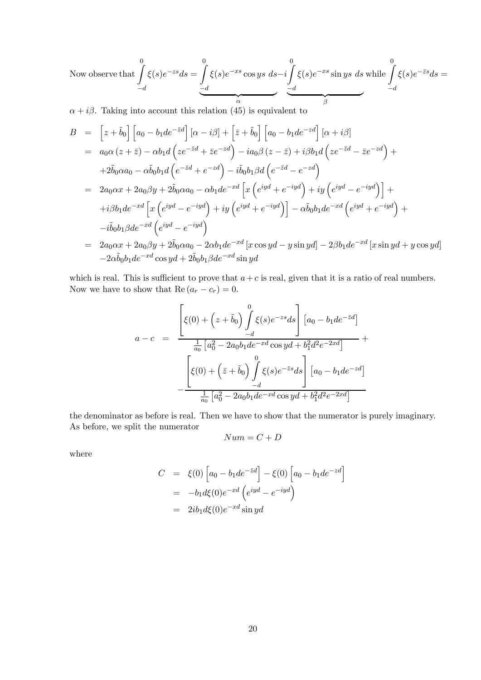Now observe that 
$$
\int_{-d}^{0} \xi(s)e^{-zs}ds = \underbrace{\int_{-d}^{0} \xi(s)e^{-xs} \cos ys \, ds - i \int_{-d}^{0} \xi(s)e^{-xs} \sin ys \, ds} \text{ while } \int_{-d}^{0} \xi(s)e^{-\overline{z}s}ds = \underbrace{\int_{-d}^{0} \xi(s)e^{-\overline{z}s} \, ds}_{\text{max}}
$$

 $\alpha + i\beta$ . Taking into account this relation (45) is equivalent to

$$
B = \left[z + \tilde{b}_0\right] \left[a_0 - b_1de^{-\bar{z}d}\right] \left[\alpha - i\beta\right] + \left[\bar{z} + \tilde{b}_0\right] \left[a_0 - b_1de^{-zd}\right] \left[\alpha + i\beta\right]
$$
  
\n
$$
= a_0\alpha \left(z + \bar{z}\right) - \alpha b_1d \left(ze^{-\bar{z}d} + \bar{z}e^{-zd}\right) - ia_0\beta \left(z - \bar{z}\right) + i\beta b_1d \left(ze^{-\bar{z}d} - \bar{z}e^{-zd}\right) +
$$
  
\n
$$
+ 2\tilde{b}_0\alpha a_0 - \alpha\tilde{b}_0b_1d \left(e^{-\bar{z}d} + e^{-zd}\right) - i\tilde{b}_0b_1\beta d \left(e^{-\bar{z}d} - e^{-zd}\right)
$$
  
\n
$$
= 2a_0\alpha x + 2a_0\beta y + 2\tilde{b}_0\alpha a_0 - \alpha b_1de^{-xd} \left[x \left(e^{iyd} + e^{-iyd}\right) + iy \left(e^{iyd} - e^{-iyd}\right)\right] +
$$
  
\n
$$
+ i\beta b_1de^{-xd} \left[x \left(e^{iyd} - e^{-iyd}\right) + iy \left(e^{iyd} + e^{-iyd}\right)\right] - \alpha\tilde{b}_0b_1de^{-xd} \left(e^{iyd} + e^{-iyd}\right) +
$$
  
\n
$$
-i\tilde{b}_0b_1\beta de^{-xd} \left(e^{iyd} - e^{-iyd}\right)
$$
  
\n
$$
= 2a_0\alpha x + 2a_0\beta y + 2\tilde{b}_0\alpha a_0 - 2\alpha b_1de^{-xd} \left[x \cos yd - y \sin yd\right] - 2\beta b_1de^{-xd} \left[x \sin yd + y \cos yd\right]
$$

$$
-2\alpha \tilde{b}_0 b_1 d e^{-xd} \cos y d + 2\tilde{b}_0 b_1 \beta d e^{-xd} \sin y d
$$

which is real. This is sufficient to prove that  $a+c$  is real, given that it is a ratio of real numbers. Now we have to show that  $\text{Re}\left(a_r - c_r\right) = 0.$ 

$$
a - c = \frac{\left[\xi(0) + \left(z + \tilde{b}_0\right) \int\limits_{-d}^{0} \xi(s)e^{-zs}ds\right] \left[a_0 - b_1de^{-\bar{z}d}\right]}{\frac{1}{a_0} \left[a_0^2 - 2a_0b_1de^{-xd}\cos yd + b_1^2d^2e^{-2xd}\right]} + \frac{\left[\xi(0) + \left(\bar{z} + \tilde{b}_0\right) \int\limits_{-d}^{0} \xi(s)e^{-\bar{z}s}ds\right] \left[a_0 - b_1de^{-zd}\right]}{\frac{1}{a_0} \left[a_0^2 - 2a_0b_1de^{-xd}\cos yd + b_1^2d^2e^{-2xd}\right]}
$$

the denominator as before is real. Then we have to show that the numerator is purely imaginary. As before, we split the numerator

$$
Num = C + D
$$

where

$$
C = \xi(0) \left[ a_0 - b_1 de^{-\overline{z}d} \right] - \xi(0) \left[ a_0 - b_1 de^{-zd} \right]
$$
  
= 
$$
-b_1 d\xi(0) e^{-xd} \left( e^{iyd} - e^{-iyd} \right)
$$
  
= 
$$
2ib_1 d\xi(0) e^{-xd} \sin yd
$$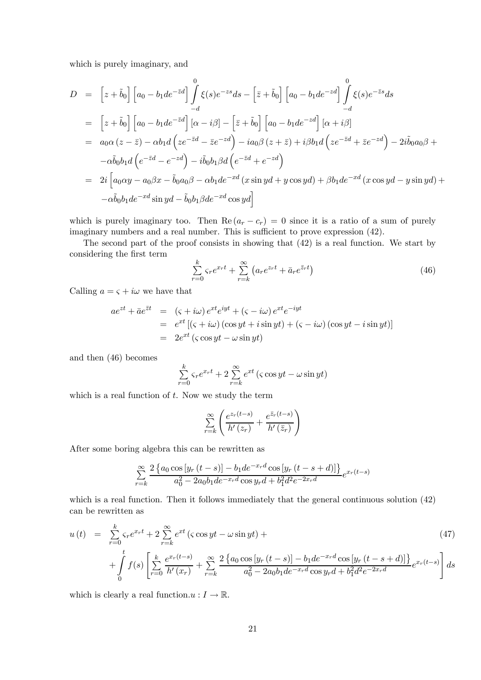which is purely imaginary, and

$$
D = \left[z + \tilde{b}_0\right] \left[a_0 - b_1de^{-\bar{z}d}\right] \int_{-d}^{0} \xi(s)e^{-zs}ds - \left[\bar{z} + \tilde{b}_0\right] \left[a_0 - b_1de^{-zd}\right] \int_{-d}^{0} \xi(s)e^{-\bar{z}s}ds
$$
  
\n
$$
= \left[z + \tilde{b}_0\right] \left[a_0 - b_1de^{-\bar{z}d}\right] \left[\alpha - i\beta\right] - \left[\bar{z} + \tilde{b}_0\right] \left[a_0 - b_1de^{-zd}\right] \left[\alpha + i\beta\right]
$$
  
\n
$$
= a_0\alpha \left(z - \bar{z}\right) - \alpha b_1d\left(ze^{-\bar{z}d} - \bar{z}e^{-zd}\right) - ia_0\beta \left(z + \bar{z}\right) + i\beta b_1d\left(ze^{-\bar{z}d} + \bar{z}e^{-zd}\right) - 2i\tilde{b}_0a_0\beta +
$$
  
\n
$$
- \alpha \tilde{b}_0b_1d\left(e^{-\bar{z}d} - e^{-zd}\right) - i\tilde{b}_0b_1\beta d\left(e^{-\bar{z}d} + e^{-zd}\right)
$$
  
\n
$$
= 2i\left[a_0\alpha y - a_0\beta x - \tilde{b}_0a_0\beta - \alpha b_1de^{-xd}\left(x\sin yd + y\cos yd\right) + \beta b_1de^{-xd}\left(x\cos yd - y\sin yd\right) +
$$
  
\n
$$
- \alpha \tilde{b}_0b_1de^{-xd}\sin yd - \tilde{b}_0b_1\beta de^{-xd}\cos yd\right]
$$

which is purely imaginary too. Then  $\text{Re}(a_r - c_r) = 0$  since it is a ratio of a sum of purely imaginary numbers and a real number. This is sufficient to prove expression  $(42)$ .

The second part of the proof consists in showing that (42) is a real function. We start by considering the first term

$$
\sum_{r=0}^{k} \zeta_r e^{x_r t} + \sum_{r=k}^{\infty} \left( a_r e^{z_r t} + \bar{a}_r e^{\bar{z}_r t} \right)
$$
\n(46)

Calling  $a = \varsigma + i\omega$  we have that

$$
ae^{zt} + \bar{a}e^{\bar{z}t} = (\varsigma + i\omega)e^{xt}e^{iyt} + (\varsigma - i\omega)e^{xt}e^{-iyt}
$$
  
= 
$$
e^{xt}[(\varsigma + i\omega)(\cos yt + i\sin yt) + (\varsigma - i\omega)(\cos yt - i\sin yt)]
$$
  
= 
$$
2e^{xt}(\varsigma \cos yt - \omega \sin yt)
$$

and then (46) becomes

$$
\sum_{r=0}^{k} \zeta_r e^{x_r t} + 2 \sum_{r=k}^{\infty} e^{xt} (\zeta \cos y t - \omega \sin y t)
$$

which is a real function of  $t$ . Now we study the term

$$
\sum_{r=k}^{\infty} \left( \frac{e^{z_r(t-s)}}{h'(z_r)} + \frac{e^{\bar{z}_r(t-s)}}{h'(\bar{z}_r)} \right)
$$

After some boring algebra this can be rewritten as

$$
\sum_{r=k}^{\infty} \frac{2 \{ a_0 \cos \left[ y_r \left( t-s \right) \right] - b_1 d e^{-x_r d} \cos \left[ y_r \left( t-s+d \right) \right] \}}{a_0^2 - 2a_0 b_1 d e^{-x_r d} \cos y_r d + b_1^2 d^2 e^{-2x_r d}} e^{x_r (t-s)}
$$

which is a real function. Then it follows immediately that the general continuous solution  $(42)$ can be rewritten as

$$
u(t) = \sum_{r=0}^{k} \zeta_r e^{x_r t} + 2 \sum_{r=k}^{\infty} e^{xt} (\zeta \cos y t - \omega \sin y t) +
$$
  
+ 
$$
\int_{0}^{t} f(s) \left[ \sum_{r=0}^{k} \frac{e^{x_r (t-s)}}{h'(x_r)} + \sum_{r=k}^{\infty} \frac{2 \{ a_0 \cos [y_r (t-s)] - b_1 d e^{-x_r d} \cos [y_r (t-s+d)] \}}{a_0^2 - 2a_0 b_1 d e^{-x_r d} \cos y_r d + b_1^2 d^2 e^{-2x_r d}} \right] ds
$$
(47)

which is clearly a real function.u :  $I \to \mathbb{R}$ .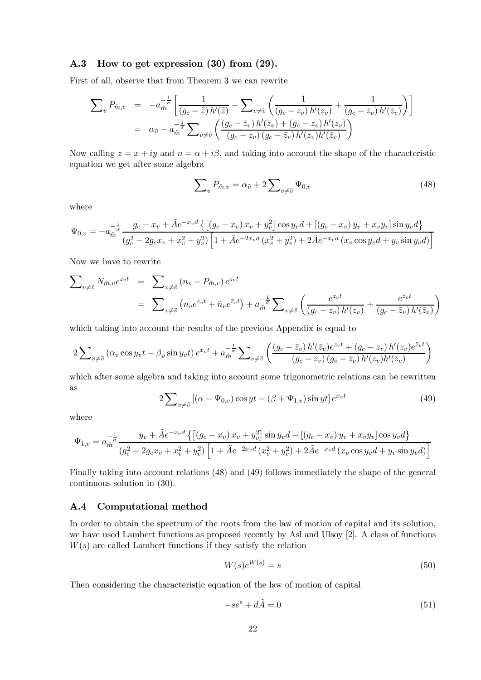### A.3 How to get expression (30) from (29).

First of all, observe that from Theorem 3 we can rewrite

$$
\sum_{v} P_{\tilde{m},v} = -a_{\tilde{m}}^{-\frac{1}{\sigma}} \left[ \frac{1}{(g_c - \tilde{z}) h'(\tilde{z})} + \sum_{v \neq \tilde{v}} \left( \frac{1}{(g_c - z_v) h'(z_v)} + \frac{1}{(g_c - \bar{z}_v) h'(\bar{z}_v)} \right) \right]
$$
  

$$
= \alpha_{\tilde{v}} - a_{\tilde{m}}^{-\frac{1}{\sigma}} \sum_{v \neq \tilde{v}} \left( \frac{(g_c - \bar{z}_v) h'(\bar{z}_v) + (g_c - z_v) h'(z_v)}{(g_c - z_v) (g_c - \bar{z}_v) h'(z_v) h'(\bar{z}_v)} \right)
$$

Now calling  $z = x + iy$  and  $n = \alpha + i\beta$ , and taking into account the shape of the characteristic equation we get after some algebra

$$
\sum_{v} P_{\tilde{m},v} = \alpha_{\tilde{v}} + 2 \sum_{v \neq \tilde{v}} \Psi_{0,v}
$$
\n(48)

where

$$
\Psi_{0,v} = -a_{\tilde{m}}^{-\frac{1}{\sigma}} \frac{g_c - x_v + \tilde{A}e^{-x_v d} \left\{ \left[ (g_c - x_v) x_v + y_v^2 \right] \cos y_v d + \left[ (g_c - x_v) y_v + x_v y_v \right] \sin y_v d \right\}}{(g_c^2 - 2g_c x_v + x_v^2 + y_v^2) \left[ 1 + \tilde{A}e^{-2x_v d} \left( x_v^2 + y_v^2 \right) + 2\tilde{A}e^{-x_v d} \left( x_v \cos y_v d + y_v \sin y_v d \right) \right]}
$$

Now we have to rewrite

$$
\sum_{v \neq \tilde{v}} N_{\tilde{m},v} e^{z_v t} = \sum_{v \neq \tilde{v}} (n_v - P_{\tilde{m},v}) e^{z_v t}
$$
  
= 
$$
\sum_{v \neq \tilde{v}} (n_v e^{z_v t} + \bar{n}_v e^{\bar{z}_v t}) + a_{\tilde{m}}^{-\frac{1}{\sigma}} \sum_{v \neq \tilde{v}} \left( \frac{e^{z_v t}}{(g_c - z_v) h'(z_v)} + \frac{e^{\bar{z}_v t}}{(g_c - \bar{z}_v) h'(\bar{z}_v)} \right)
$$

which taking into account the results of the previous Appendix is equal to

$$
2\sum_{v\neq \tilde{v}}\left(\alpha_v\cos y_vt - \beta_v\sin y_vt\right)e^{x_vt} + a_{\tilde{m}}^{-\frac{1}{\sigma}}\sum_{v\neq \tilde{v}}\left(\frac{(g_c-\bar{z}_v)\,h'(\bar{z}_v)e^{z_vt} + (g_c-z_v)\,h'(z_v)e^{\bar{z}_vt}}{(g_c-z_v)\,(g_c-\bar{z}_v)\,h'(z_v)h'(\bar{z}_v)}\right)
$$

which after some algebra and taking into account some trigonometric relations can be rewritten as

$$
2\sum_{v\neq \tilde{v}}\left[\left(\alpha - \Psi_{0,v}\right)\cos yt - \left(\beta + \Psi_{1,v}\right)\sin yt\right]e^{x_vt} \tag{49}
$$

where

$$
\Psi_{1,v} = a_{\tilde{m}}^{-\frac{1}{\sigma}} \frac{y_v + \tilde{A}e^{-x_v d} \left\{ \left[ (g_c - x_v) x_v + y_v^2 \right] \sin y_v d - \left[ (g_c - x_v) y_v + x_v y_v \right] \cos y_v d \right\}}{(g_c^2 - 2g_c x_v + x_v^2 + y_v^2) \left[ 1 + \tilde{A}e^{-2x_v d} \left( x_v^2 + y_v^2 \right) + 2\tilde{A}e^{-x_v d} \left( x_v \cos y_v d + y_v \sin y_v d \right) \right]}
$$

Finally taking into account relations (48) and (49) follows immediately the shape of the general continuous solution in (30).

### A.4 Computational method

In order to obtain the spectrum of the roots from the law of motion of capital and its solution, we have used Lambert functions as proposed recently by Asl and Ulsoy [2]. A class of functions  $W(s)$  are called Lambert functions if they satisfy the relation

$$
W(s)e^{W(s)} = s \tag{50}
$$

Then considering the characteristic equation of the law of motion of capital

$$
-se^s + d\tilde{A} = 0 \tag{51}
$$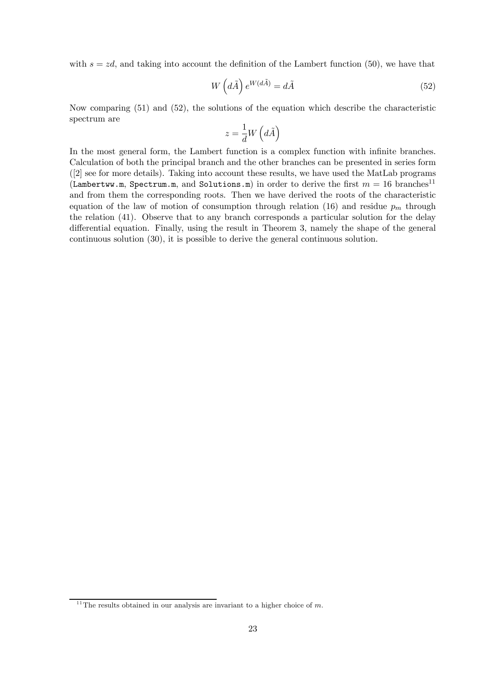with  $s = zd$ , and taking into account the definition of the Lambert function (50), we have that

$$
W\left(d\tilde{A}\right)e^{W(d\tilde{A})} = d\tilde{A}
$$
\n(52)

Now comparing (51) and (52), the solutions of the equation which describe the characteristic spectrum are

$$
z = \frac{1}{d}W\left(d\tilde{A}\right)
$$

In the most general form, the Lambert function is a complex function with infinite branches. Calculation of both the principal branch and the other branches can be presented in series form ([2] see for more details). Taking into account these results, we have used the MatLab programs (Lambertww.m, Spectrum.m, and Solutions.m) in order to derive the first  $m = 16$  branches<sup>11</sup> and from them the corresponding roots. Then we have derived the roots of the characteristic equation of the law of motion of consumption through relation (16) and residue  $p_m$  through the relation (41). Observe that to any branch corresponds a particular solution for the delay differential equation. Finally, using the result in Theorem 3, namely the shape of the general continuous solution (30), it is possible to derive the general continuous solution.

 $11$ <sup>11</sup>The results obtained in our analysis are invariant to a higher choice of m.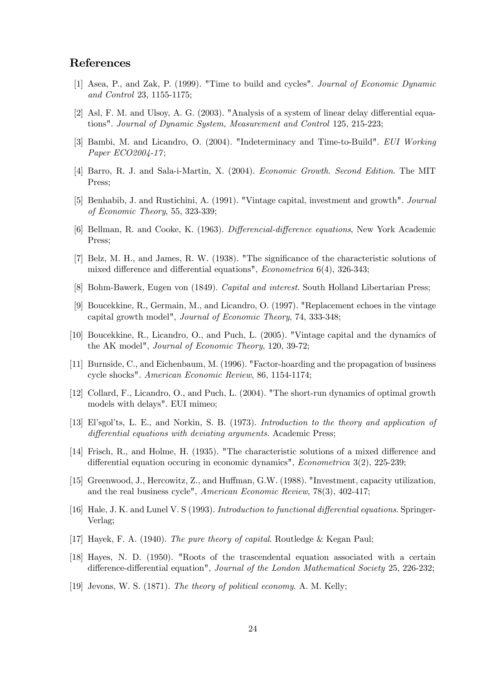### References

- [1] Asea, P., and Zak, P. (1999). "Time to build and cycles". Journal of Economic Dynamic and Control 23, 1155-1175;
- [2] Asl, F. M. and Ulsoy, A. G. (2003). "Analysis of a system of linear delay differential equations". Journal of Dynamic System, Measurement and Control 125, 215-223;
- [3] Bambi, M. and Licandro, O. (2004). "Indeterminacy and Time-to-Build". EUI Working Paper ECO2004-17;
- [4] Barro, R. J. and Sala-i-Martin, X. (2004). Economic Growth. Second Edition. The MIT Press;
- [5] Benhabib, J. and Rustichini, A. (1991). "Vintage capital, investment and growth". Journal of Economic Theory, 55, 323-339;
- [6] Bellman, R. and Cooke, K. (1963). Differencial-difference equations, New York Academic Press;
- [7] Belz, M. H., and James, R. W. (1938). "The significance of the characteristic solutions of mixed difference and differential equations", Econometrica 6(4), 326-343;
- [8] Bohm-Bawerk, Eugen von (1849). Capital and interest. South Holland Libertarian Press;
- [9] Boucekkine, R., Germain, M., and Licandro, O. (1997). "Replacement echoes in the vintage capital growth model", Journal of Economic Theory, 74, 333-348;
- [10] Boucekkine, R., Licandro, O., and Puch, L. (2005). "Vintage capital and the dynamics of the AK model", Journal of Economic Theory, 120, 39-72;
- [11] Burnside, C., and Eichenbaum, M. (1996). "Factor-hoarding and the propagation of business cycle shocks". American Economic Review, 86, 1154-1174;
- [12] Collard, F., Licandro, O., and Puch, L. (2004). "The short-run dynamics of optimal growth models with delays". EUI mimeo;
- [13] El'sgol'ts, L. E., and Norkin, S. B. (1973). Introduction to the theory and application of differential equations with deviating arguments. Academic Press;
- [14] Frisch, R., and Holme, H. (1935). "The characteristic solutions of a mixed difference and differential equation occuring in economic dynamics", Econometrica 3(2), 225-239;
- [15] Greenwood, J., Hercowitz, Z., and Huffman, G.W. (1988). "Investment, capacity utilization, and the real business cycle", American Economic Review, 78(3), 402-417;
- [16] Hale, J. K. and Lunel V. S (1993). Introduction to functional differential equations. Springer-Verlag;
- [17] Hayek, F. A. (1940). The pure theory of capital. Routledge & Kegan Paul;
- [18] Hayes, N. D. (1950). "Roots of the trascendental equation associated with a certain difference-differential equation", Journal of the London Mathematical Society 25, 226-232;
- [19] Jevons, W. S. (1871). The theory of political economy. A. M. Kelly;